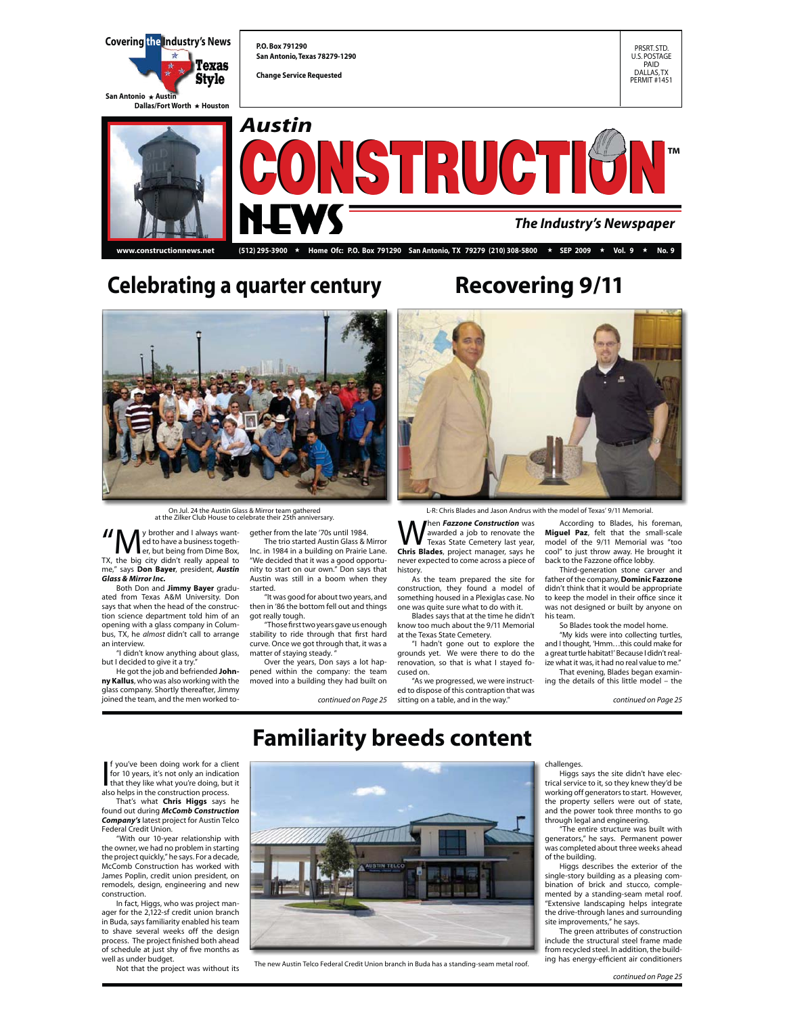

## **Celebrating a quarter century Recovering 9/11**



On Jul. 24 the Austin Glass & Mirror team gathered at the Zilker Club House to celebrate their 25th anniversary.

If  $\sum_{\text{er, but being from Dime Box,}}$ <br>In the big city didn't really appeal to ed to have a business togeth-TX, the big city didn't really appeal to me," says **Don Bayer**, president, *Austin Glass & Mirror Inc.*

 Both Don and **Jimmy Bayer** graduated from Texas A&M University. Don says that when the head of the construction science department told him of an opening with a glass company in Columbus, TX, he *almost* didn't call to arrange an interview.

"I didn't know anything about glass, but I decided to give it a try

He got the job and befriended **Johnny Kallus**, who was also working with the glass company. Shortly thereafter, Jimmy joined the team, and the men worked together from the late '70s until 1984. The trio started Austin Glass & Mirror

Inc. in 1984 in a building on Prairie Lane. "We decided that it was a good opportunity to start on our own." Don says that Austin was still in a boom when they started.

"It was good for about two years, and then in '86 the bottom fell out and things got really tough.

 "Those first two years gave us enough stability to ride through that first hard curve. Once we got through that, it was a matter of staying steady.

 Over the years, Don says a lot happened within the company: the team moved into a building they had built on

L-R: Chris Blades and Jason Andrus with the model of Texas' 9/11 Memorial.

**W** hen *Fazzone Construction* was<br>
Texas State Cemetery last year,<br> **Chris Blades**, project manager says be awarded a job to renovate the **Chris Blades**, project manager, says he never expected to come across a piece of history.

 As the team prepared the site for construction, they found a model of something housed in a Plexiglas case. No one was quite sure what to do with it.

 Blades says that at the time he didn't know too much about the 9/11 Memorial at the Texas State Cemetery.

"I hadn't gone out to explore the grounds yet. We were there to do the renovation, so that is what I stayed focused on.

*continued on Page 25 continued on Page 25* sitting on a table, and in the way." "As we progressed, we were instructed to dispose of this contraption that was

 According to Blades, his foreman, **Miguel Paz**, felt that the small-scale model of the 9/11 Memorial was "too cool" to just throw away. He brought it back to the Fazzone office lobby.

Third-generation stone carver and father of the company, **Dominic Fazzone** didn't think that it would be appropriate to keep the model in their office since it was not designed or built by anyone on his team.

So Blades took the model home.

 "My kids were into collecting turtles, and I thought, 'Hmm…this could make for a great turtle habitat!' Because I didn't realwhat it was, it had no real value to me."

 That evening, Blades began examining the details of this little model – the

# **Familiarity breeds content**

If you've been doing work for a client<br>for 10 years, it's not only an indication<br>that they like what you're doing, but it<br>also helps in the construction process. you've been doing work for a client for 10 years, it's not only an indication

 That's what **Chris Higgs** says he found out during *McComb Construction Company's* latest project for Austin Telco Federal Credit Union.

 "With our 10-year relationship with the owner, we had no problem in starting the project quickly," he says. For a decade, McComb Construction has worked with James Poplin, credit union president, on remodels, design, engineering and new construction.

In fact, Higgs, who was project manager for the 2,122-sf credit union branch in Buda, says familiarity enabled his team to shave several weeks off the design process. The project finished both ahead of schedule at just shy of five months as

well as under budget. Not that the project was without its



ing has energy-efficient air conditioners The new Austin Telco Federal Credit Union branch in Buda has a standing-seam metal roof.

challenges.

Higgs says the site didn't have electrical service to it, so they knew they'd be working off generators to start. However, the property sellers were out of state, and the power took three months to go through legal and engineering.

"The entire structure was built with generators," he says. Permanent power was completed about three weeks ahead

of the building. Higgs describes the exterior of the single-story building as a pleasing combination of brick and stucco, complemented by a standing-seam metal roof. "Extensive landscaping helps integrate the drive-through lanes and surrounding site improvements," he says.

The green attributes of construction include the structural steel frame made from recycled steel. In addition, the build-